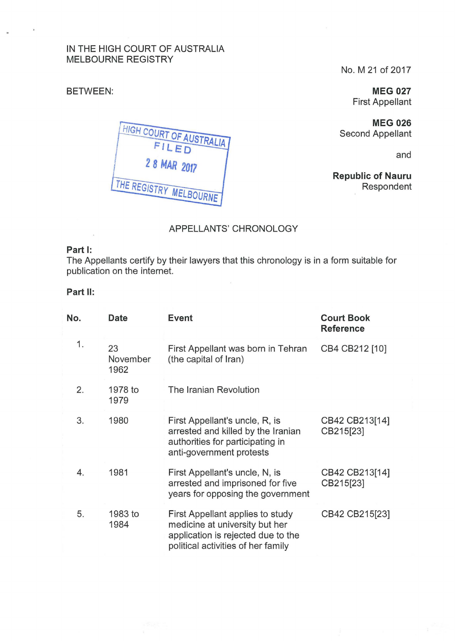# IN THE HIGH COURT OF AUSTRALIA MELBOURNE REGISTRY

#### BETWEEN:

No. M 21 of 2017

**MEG 027**  First Appellant

**MEG 026**  Second Appellant

and

**Republic of Nauru**  Respondent

HIGH COURT OF AUSTRALIA FILED 2 8 MAR 2017 THE REGISTRY MELBOURNE

# APPELLANTS' CHRONOLOGY

### **Part 1:**

The Appellants certify by their lawyers that this chronology is in a form suitable for publication on the internet.

# **Part 11:**

| No. | Date                   | <b>Event</b>                                                                                                                                                     | <b>Court Book</b><br><b>Reference</b> |
|-----|------------------------|------------------------------------------------------------------------------------------------------------------------------------------------------------------|---------------------------------------|
| 1.  | 23<br>November<br>1962 | First Appellant was born in Tehran<br>CB4 CB212 [10]<br>(the capital of Iran)                                                                                    |                                       |
| 2.  | 1978 to<br>1979        | The Iranian Revolution                                                                                                                                           |                                       |
| 3.  | 1980                   | First Appellant's uncle, R, is<br>arrested and killed by the Iranian<br>authorities for participating in<br>anti-government protests                             | CB42 CB213[14]<br>CB215[23]           |
| 4.  | 1981                   | First Appellant's uncle, N, is<br>arrested and imprisoned for five<br>years for opposing the government                                                          | CB42 CB213[14]<br>CB215[23]           |
| 5.  | 1983 to<br>1984        | CB42 CB215[23]<br>First Appellant applies to study<br>medicine at university but her<br>application is rejected due to the<br>political activities of her family |                                       |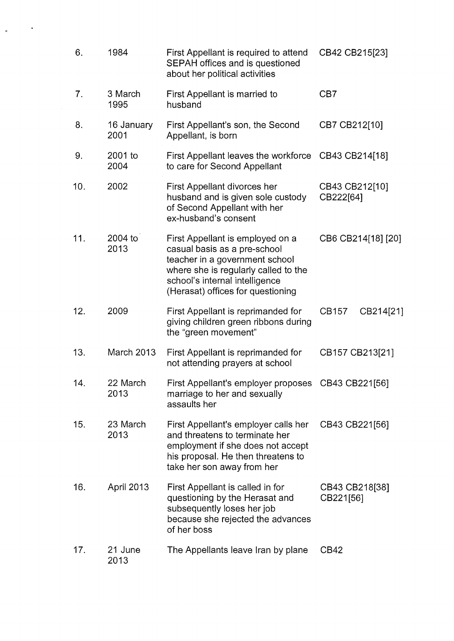| 6.             | 1984               | First Appellant is required to attend<br>SEPAH offices and is questioned<br>about her political activities                                                                                                        | CB42 CB215[23]              |  |
|----------------|--------------------|-------------------------------------------------------------------------------------------------------------------------------------------------------------------------------------------------------------------|-----------------------------|--|
| 7 <sub>1</sub> | 3 March<br>1995    | First Appellant is married to<br>husband                                                                                                                                                                          | CB7                         |  |
| 8.             | 16 January<br>2001 | First Appellant's son, the Second<br>Appellant, is born                                                                                                                                                           | CB7 CB212[10]               |  |
| 9.             | 2001 to<br>2004    | First Appellant leaves the workforce CB43 CB214[18]<br>to care for Second Appellant                                                                                                                               |                             |  |
| 10.            | 2002               | First Appellant divorces her<br>husband and is given sole custody<br>of Second Appellant with her<br>ex-husband's consent                                                                                         | CB43 CB212[10]<br>CB222[64] |  |
| 11.            | 2004 to<br>2013    | First Appellant is employed on a<br>casual basis as a pre-school<br>teacher in a government school<br>where she is regularly called to the<br>school's internal intelligence<br>(Herasat) offices for questioning | CB6 CB214[18] [20]          |  |
| 12.            | 2009               | First Appellant is reprimanded for<br>giving children green ribbons during<br>the "green movement"                                                                                                                | CB157<br>CB214[21]          |  |
| 13.            | March 2013         | First Appellant is reprimanded for<br>not attending prayers at school                                                                                                                                             | CB157 CB213[21]             |  |
| 14.            | 22 March<br>2013   | First Appellant's employer proposes<br>marriage to her and sexually<br>assaults her                                                                                                                               | CB43 CB221[56]              |  |
| 15.            | 23 March<br>2013   | First Appellant's employer calls her<br>and threatens to terminate her<br>employment if she does not accept<br>his proposal. He then threatens to<br>take her son away from her                                   | CB43 CB221[56]              |  |
| 16.            | April 2013         | First Appellant is called in for<br>questioning by the Herasat and<br>subsequently loses her job<br>because she rejected the advances<br>of her boss                                                              | CB43 CB218[38]<br>CB221[56] |  |
| 17.            | 21 June<br>2013    | The Appellants leave Iran by plane                                                                                                                                                                                | CB42                        |  |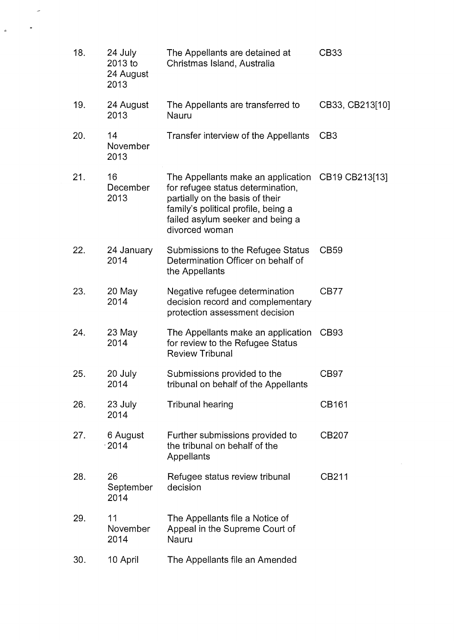| 18. | 24 July<br>2013 to<br>24 August<br>2013 | The Appellants are detained at<br>Christmas Island, Australia                                                                                                                                                          | CB33            |
|-----|-----------------------------------------|------------------------------------------------------------------------------------------------------------------------------------------------------------------------------------------------------------------------|-----------------|
| 19. | 24 August<br>2013                       | The Appellants are transferred to<br>Nauru                                                                                                                                                                             | CB33, CB213[10] |
| 20. | 14<br>November<br>2013                  | Transfer interview of the Appellants                                                                                                                                                                                   | CB <sub>3</sub> |
| 21. | 16<br>December<br>2013                  | The Appellants make an application CB19 CB213[13]<br>for refugee status determination,<br>partially on the basis of their<br>family's political profile, being a<br>failed asylum seeker and being a<br>divorced woman |                 |
| 22. | 24 January<br>2014                      | Submissions to the Refugee Status<br>Determination Officer on behalf of<br>the Appellants                                                                                                                              | CB59            |
| 23. | 20 May<br>2014                          | Negative refugee determination<br>decision record and complementary<br>protection assessment decision                                                                                                                  | CB77            |
| 24. | $23$ May<br>2014                        | The Appellants make an application<br>for review to the Refugee Status<br><b>Review Tribunal</b>                                                                                                                       | CB93            |
| 25. | 20 July<br>2014                         | Submissions provided to the<br>tribunal on behalf of the Appellants                                                                                                                                                    | CB97            |
| 26. | 23 July<br>2014                         | <b>Tribunal hearing</b>                                                                                                                                                                                                | CB161           |
| 27. | 6 August<br>$\cdot$ 2014                | Further submissions provided to<br>the tribunal on behalf of the<br>Appellants                                                                                                                                         | CB207           |
| 28. | 26<br>September<br>2014                 | Refugee status review tribunal<br>decision                                                                                                                                                                             | CB211           |
| 29. | 11<br>November<br>2014                  | The Appellants file a Notice of<br>Appeal in the Supreme Court of<br>Nauru                                                                                                                                             |                 |
| 30. | 10 April                                | The Appellants file an Amended                                                                                                                                                                                         |                 |

 $\sim$ 

 $\ddot{\bullet}$ 

 $\phi$